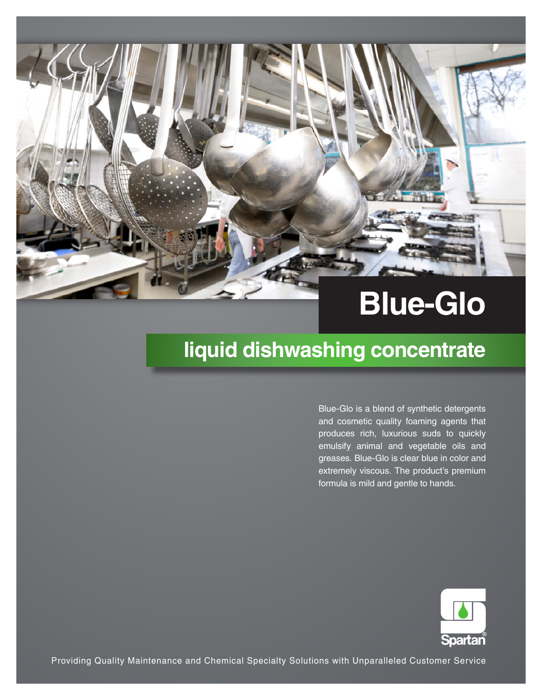

# **liquid dishwashing concentrate**

Blue-Glo is a blend of synthetic detergents and cosmetic quality foaming agents that produces rich, luxurious suds to quickly emulsify animal and vegetable oils and greases. Blue-Glo is clear blue in color and extremely viscous. The product's premium formula is mild and gentle to hands.



Providing Quality Maintenance and Chemical Specialty Solutions with Unparalleled Customer Service